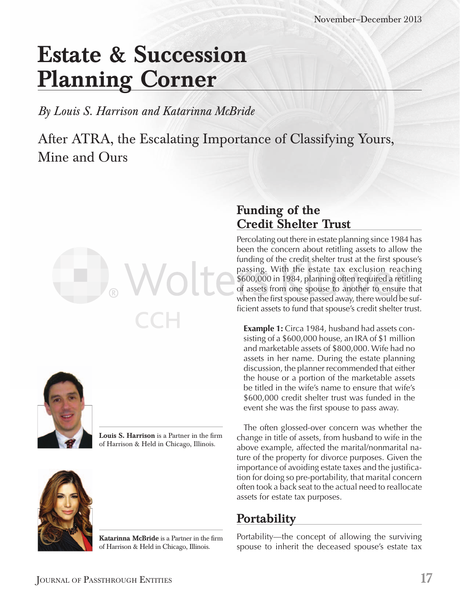# **Estate & Succession Planning Corner**

*By Louis S. Harrison and Katarinna McBride*

After ATRA, the Escalating Importance of Classifying Yours, Mine and Ours





Louis S. Harrison is a Partner in the firm of Harrison & Held in Chicago, Illinois.



**Katarinna McBride** is a Partner in the firm of Harrison & Held in Chicago, Illinois.

## **Funding of the Credit Shelter Trust**

Percolating out there in estate planning since 1984 has been the concern about retitling assets to allow the funding of the credit shelter trust at the first spouse's passing. With the estate tax exclusion reaching \$600,000 in 1984, planning often required a retitling of assets from one spouse to another to ensure that when the first spouse passed away, there would be sufficient assets to fund that spouse's credit shelter trust.

**Example 1:** Circa 1984, husband had assets consisting of a \$600,000 house, an IRA of \$1 million and marketable assets of \$800,000. Wife had no assets in her name. During the estate planning discussion, the planner recommended that either the house or a portion of the marketable assets be titled in the wife's name to ensure that wife's \$600,000 credit shelter trust was funded in the event she was the first spouse to pass away.

The often glossed-over concern was whether the change in title of assets, from husband to wife in the above example, affected the marital/nonmarital nature of the property for divorce purposes. Given the importance of avoiding estate taxes and the justification for doing so pre-portability, that marital concern often took a back seat to the actual need to reallocate assets for estate tax purposes.

## **Portability**

Portability—the concept of allowing the surviving spouse to inherit the deceased spouse's estate tax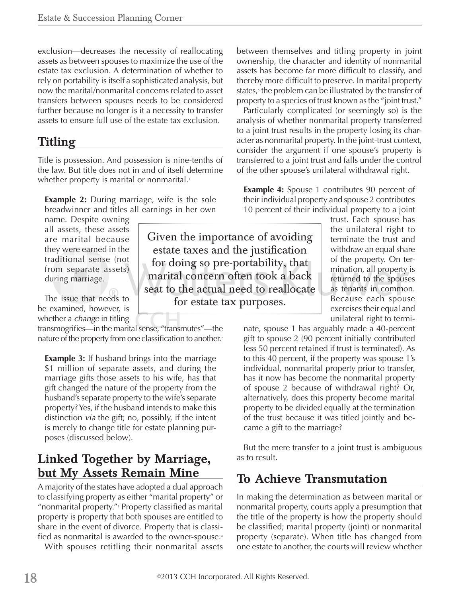exclusion—decreases the necessity of reallocating assets as between spouses to maximize the use of the estate tax exclusion. A determination of whether to rely on portability is itself a sophisticated analysis, but now the marital/nonmarital concerns related to asset transfers between spouses needs to be considered further because no longer is it a necessity to transfer assets to ensure full use of the estate tax exclusion.

#### **Titling**

Title is possession. And possession is nine-tenths of the law. But title does not in and of itself determine whether property is marital or nonmarital.<sup>1</sup>

**Example 2:** During marriage, wife is the sole breadwinner and titles all earnings in her own

name. Despite owning all assets, these assets are marital because they were earned in the traditional sense (not from separate assets) during marriage.

The issue that needs to be examined, however, is whether a *change* in titling

transmogrifies—in the marital sense, "transmutes"—the nature of the property from one classification to another.<sup>2</sup>

**Example 3:** If husband brings into the marriage \$1 million of separate assets, and during the marriage gifts those assets to his wife, has that gift changed the nature of the property from the husband's separate property to the wife's separate property? Yes, if the husband intends to make this distinction *via* the gift; no, possibly, if the intent is merely to change title for estate planning purposes (discussed below).

## **Linked Together by Marriage, but My Assets Remain Mine**

A majority of the states have adopted a dual approach to classifying property as either "marital property" or "nonmarital property."<sup>3</sup> Property classified as marital property is property that both spouses are entitled to share in the event of divorce. Property that is classified as nonmarital is awarded to the owner-spouse.<sup>4</sup>

With spouses retitling their nonmarital assets

between themselves and titling property in joint ownership, the character and identity of nonmarital assets has become far more difficult to classify, and thereby more difficult to preserve. In marital property states,<sub>5</sub> the problem can be illustrated by the transfer of property to a species of trust known as the "joint trust."

Particularly complicated (or seemingly so) is the analysis of whether nonmarital property transferred to a joint trust results in the property losing its character as nonmarital property. In the joint-trust context, consider the argument if one spouse's property is transferred to a joint trust and falls under the control of the other spouse's unilateral withdrawal right.

**Example 4:** Spouse 1 contributes 90 percent of their individual property and spouse 2 contributes 10 percent of their individual property to a joint

> trust. Each spouse has the unilateral right to terminate the trust and withdraw an equal share of the property. On termination, all property is returned to the spouses as tenants in common. Because each spouse exercises their equal and unilateral right to termi-

nate, spouse 1 has arguably made a 40-percent gift to spouse 2 (90 percent initially contributed less 50 percent retained if trust is terminated). As to this 40 percent, if the property was spouse 1's individual, nonmarital property prior to transfer, has it now has become the nonmarital property of spouse 2 because of withdrawal right? Or, alternatively, does this property become marital property to be divided equally at the termination of the trust because it was titled jointly and became a gift to the marriage?

But the mere transfer to a joint trust is ambiguous as to result.

## **To Achieve Transmutation**

In making the determination as between marital or nonmarital property, courts apply a presumption that the title of the property is how the property should be classified; marital property (joint) or nonmarital property (separate). When title has changed from one estate to another, the courts will review whether

estate taxes and the justification for doing so pre-portability, that marital concern often took a back seat to the actual need to reallocate for estate tax purposes.

Given the importance of avoiding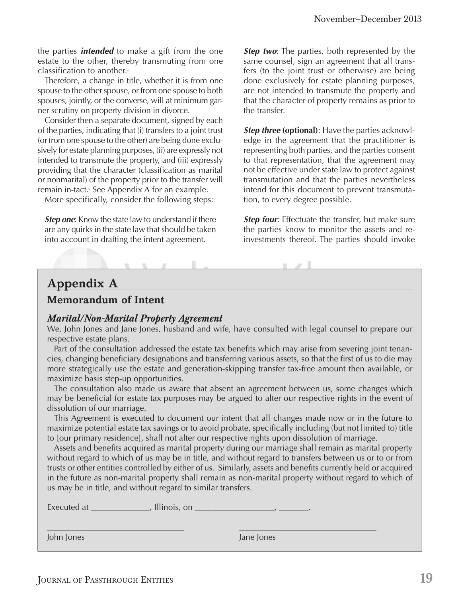the parties *intended* to make a gift from the one estate to the other, thereby transmuting from one classification to another.<sup>6</sup>

Therefore, a change in title, whether it is from one spouse to the other spouse, or from one spouse to both spouses, jointly, or the converse, will at minimum garner scrutiny on property division in divorce.

Consider then a separate document, signed by each of the parties, indicating that (i) transfers to a joint trust (or from one spouse to the other) are being done exclusively for estate planning purposes, (ii) are expressly not intended to transmute the property, and (iii) expressly providing that the character (classification as marital or nonmarital) of the property prior to the transfer will remain in-tact.<sup>7</sup> See Appendix A for an example.

More specifically, consider the following steps:

**Step one:** Know the state law to understand if there are any quirks in the state law that should be taken into account in drafting the intent agreement.

**Step two:** The parties, both represented by the same counsel, sign an agreement that all transfers (to the joint trust or otherwise) are being done exclusively for estate planning purposes, are not intended to transmute the property and that the character of property remains as prior to the transfer.

*Step three* (optional): Have the parties acknowledge in the agreement that the practitioner is representing both parties, and the parties consent to that representation, that the agreement may not be effective under state law to protect against transmutation and that the parties nevertheless intend for this document to prevent transmutation, to every degree possible.

**Step four:** Effectuate the transfer, but make sure the parties know to monitor the assets and reinvestments thereof. The parties should invoke

#### **Appendix A**

#### **Memorandum of Intent**

#### *Marital/Non-Marital Property Agreement*

We, John Jones and Jane Jones, husband and wife, have consulted with legal counsel to prepare our respective estate plans.

 $\mathbf{1}$   $\mathbf{1}$   $\mathbf{1}$   $\mathbf{1}$   $\mathbf{1}$   $\mathbf{1}$   $\mathbf{1}$   $\mathbf{1}$   $\mathbf{1}$   $\mathbf{1}$   $\mathbf{1}$ 

Part of the consultation addressed the estate tax benefits which may arise from severing joint tenancies, changing beneficiary designations and transferring various assets, so that the first of us to die may more strategically use the estate and generation-skipping transfer tax-free amount then available, or maximize basis step-up opportunities.

The consultation also made us aware that absent an agreement between us, some changes which may be beneficial for estate tax purposes may be argued to alter our respective rights in the event of dissolution of our marriage.

This Agreement is executed to document our intent that all changes made now or in the future to maximize potential estate tax savings or to avoid probate, specifically including (but not limited to) title to [our primary residence], shall not alter our respective rights upon dissolution of marriage.

Assets and benefits acquired as marital property during our marriage shall remain as marital property without regard to which of us may be in title, and without regard to transfers between us or to or from trusts or other entities controlled by either of us. Similarly, assets and benefits currently held or acquired in the future as non-marital property shall remain as non-marital property without regard to which of us may be in title, and without regard to similar transfers.

Executed at \_\_\_\_\_\_\_\_\_\_\_\_\_\_, Illinois, on \_\_\_\_\_\_\_\_\_\_\_\_\_\_\_\_\_\_\_, \_\_\_\_\_\_\_.

John Jones Jane Jones

 $\overline{a}$